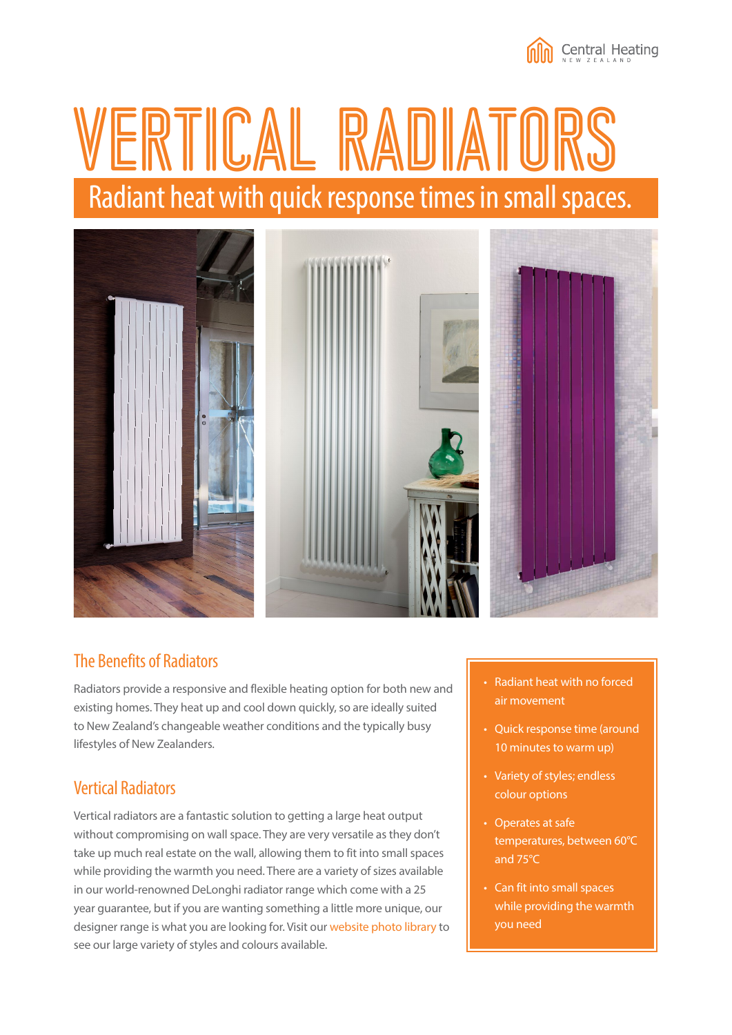

# VERTICAL RADIATORS Radiant heat with quick response times in small spaces.



#### The Benefits of Radiators

Radiators provide a responsive and flexible heating option for both new and existing homes. They heat up and cool down quickly, so are ideally suited to New Zealand's changeable weather conditions and the typically busy lifestyles of New Zealanders.

### Vertical Radiators

Vertical radiators are a fantastic solution to getting a large heat output without compromising on wall space. They are very versatile as they don't take up much real estate on the wall, allowing them to fit into small spaces while providing the warmth you need. There are a variety of sizes available in our world-renowned DeLonghi radiator range which come with a 25 year guarantee, but if you are wanting something a little more unique, our designer range is what you are looking for. Visit our [website photo library](http://www.centralheating.co.nz/photo-library/galleries/designer-radiators/) to see our large variety of styles and colours available.

- Radiant heat with no forced air movement
- Quick response time (around 10 minutes to warm up)
- Variety of styles; endless colour options
- Operates at safe temperatures, between 60°C and 75°C
- Can fit into small spaces while providing the warmth you need